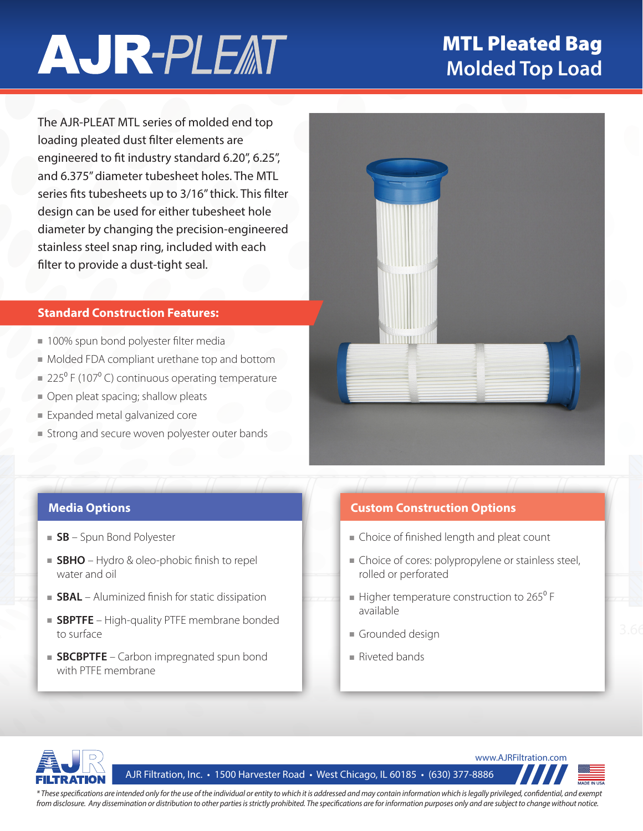# **AJR-PLEAT**

### MTL Pleated Bag **Molded Top Load**

The AJR-PLEAT MTL series of molded end top loading pleated dust filter elements are engineered to fit industry standard 6.20", 6.25", and 6.375" diameter tubesheet holes. The MTL series fits tubesheets up to 3/16" thick. This filter design can be used for either tubesheet hole diameter by changing the precision-engineered stainless steel snap ring, included with each filter to provide a dust-tight seal.

#### **Standard Construction Features:**

- 100% spun bond polyester filter media
- Molded FDA compliant urethane top and bottom
- $= 225^{\circ}$  F (107 $^{\circ}$  C) continuous operating temperature
- Open pleat spacing; shallow pleats
- Expanded metal galvanized core
- Strong and secure woven polyester outer bands



- **SB** Spun Bond Polyester
- **SBHO** Hydro & oleo-phobic finish to repel water and oil
- **SBAL** Aluminized finish for static dissipation
- **SBPTFE** High-quality PTFE membrane bonded to surface
- **SBCBPTFE** Carbon impregnated spun bond with PTFE membrane

### **Media Options Custom Construction Options**

- Choice of finished length and pleat count
- Choice of cores: polypropylene or stainless steel, rolled or perforated
- available  $\blacksquare$  Higher temperature construction to 265 $\rm{^0}$  F
- Grounded design
- Riveted bands



AJR Filtration, Inc. • 1500 Harvester Road • West Chicago, IL 60185 • (630) 377-8886



*\* These specifications are intended only for the use of the individual or entity to which it is addressed and may contain information which is legally privileged, confidential, and exempt from disclosure. Any dissemination or distribution to other parties is strictly prohibited. The specifications are for information purposes only and are subject to change without notice.*